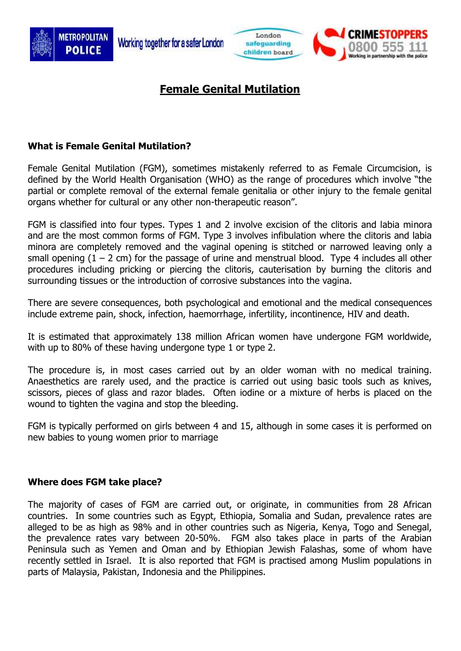





# **Female Genital Mutilation**

# **What is Female Genital Mutilation?**

Female Genital Mutilation (FGM), sometimes mistakenly referred to as Female Circumcision, is defined by the World Health Organisation (WHO) as the range of procedures which involve "the partial or complete removal of the external female genitalia or other injury to the female genital organs whether for cultural or any other non-therapeutic reason".

FGM is classified into four types. Types 1 and 2 involve excision of the clitoris and labia minora and are the most common forms of FGM. Type 3 involves infibulation where the clitoris and labia minora are completely removed and the vaginal opening is stitched or narrowed leaving only a small opening  $(1 - 2$  cm) for the passage of urine and menstrual blood. Type 4 includes all other procedures including pricking or piercing the clitoris, cauterisation by burning the clitoris and surrounding tissues or the introduction of corrosive substances into the vagina.

There are severe consequences, both psychological and emotional and the medical consequences include extreme pain, shock, infection, haemorrhage, infertility, incontinence, HIV and death.

It is estimated that approximately 138 million African women have undergone FGM worldwide, with up to 80% of these having undergone type 1 or type 2.

The procedure is, in most cases carried out by an older woman with no medical training. Anaesthetics are rarely used, and the practice is carried out using basic tools such as knives, scissors, pieces of glass and razor blades. Often iodine or a mixture of herbs is placed on the wound to tighten the vagina and stop the bleeding.

FGM is typically performed on girls between 4 and 15, although in some cases it is performed on new babies to young women prior to marriage

#### **Where does FGM take place?**

The majority of cases of FGM are carried out, or originate, in communities from 28 African countries. In some countries such as Egypt, Ethiopia, Somalia and Sudan, prevalence rates are alleged to be as high as 98% and in other countries such as Nigeria, Kenya, Togo and Senegal, the prevalence rates vary between 20-50%. FGM also takes place in parts of the Arabian Peninsula such as Yemen and Oman and by Ethiopian Jewish Falashas, some of whom have recently settled in Israel. It is also reported that FGM is practised among Muslim populations in parts of Malaysia, Pakistan, Indonesia and the Philippines.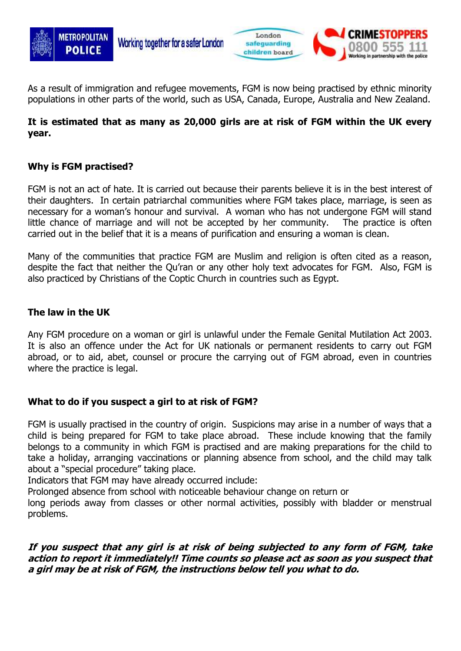



As a result of immigration and refugee movements, FGM is now being practised by ethnic minority populations in other parts of the world, such as USA, Canada, Europe, Australia and New Zealand.

## **It is estimated that as many as 20,000 girls are at risk of FGM within the UK every year.**

## **Why is FGM practised?**

FGM is not an act of hate. It is carried out because their parents believe it is in the best interest of their daughters. In certain patriarchal communities where FGM takes place, marriage, is seen as necessary for a woman's honour and survival. A woman who has not undergone FGM will stand little chance of marriage and will not be accepted by her community. The practice is often carried out in the belief that it is a means of purification and ensuring a woman is clean.

Many of the communities that practice FGM are Muslim and religion is often cited as a reason, despite the fact that neither the Qu'ran or any other holy text advocates for FGM. Also, FGM is also practiced by Christians of the Coptic Church in countries such as Egypt.

### **The law in the UK**

Any FGM procedure on a woman or girl is unlawful under the Female Genital Mutilation Act 2003. It is also an offence under the Act for UK nationals or permanent residents to carry out FGM abroad, or to aid, abet, counsel or procure the carrying out of FGM abroad, even in countries where the practice is legal.

## **What to do if you suspect a girl to at risk of FGM?**

FGM is usually practised in the country of origin. Suspicions may arise in a number of ways that a child is being prepared for FGM to take place abroad. These include knowing that the family belongs to a community in which FGM is practised and are making preparations for the child to take a holiday, arranging vaccinations or planning absence from school, and the child may talk about a "special procedure" taking place.

Indicators that FGM may have already occurred include:

Prolonged absence from school with noticeable behaviour change on return or

long periods away from classes or other normal activities, possibly with bladder or menstrual problems.

### **If you suspect that any girl is at risk of being subjected to any form of FGM, take action to report it immediately!! Time counts so please act as soon as you suspect that a girl may be at risk of FGM, the instructions below tell you what to do.**